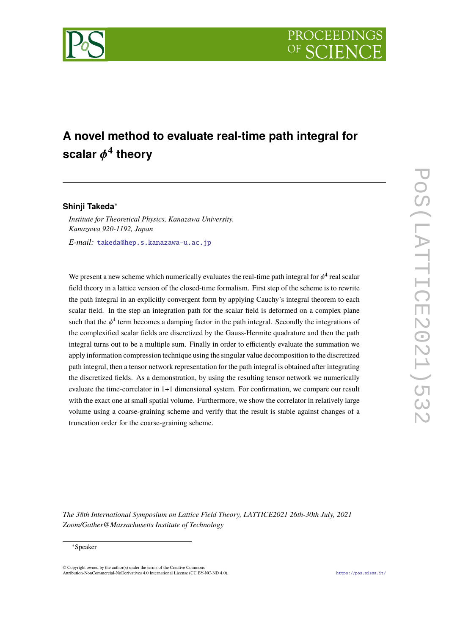

# **A novel method to evaluate real-time path integral for scalar** ϕ **4 theory**

# **Shinji Takeda**<sup>∗</sup>

*Institute for Theoretical Physics, Kanazawa University, Kanazawa 920-1192, Japan E-mail:* [takeda@hep.s.kanazawa-u.ac.jp](mailto:takeda@hep.s.kanazawa-u.ac.jp)

We present a new scheme which numerically evaluates the real-time path integral for  $\phi^4$  real scalar field theory in a lattice version of the closed-time formalism. First step of the scheme is to rewrite the path integral in an explicitly convergent form by applying Cauchy's integral theorem to each scalar field. In the step an integration path for the scalar field is deformed on a complex plane such that the  $\phi^4$  term becomes a damping factor in the path integral. Secondly the integrations of the complexified scalar fields are discretized by the Gauss-Hermite quadrature and then the path integral turns out to be a multiple sum. Finally in order to efficiently evaluate the summation we apply information compression technique using the singular value decomposition to the discretized path integral, then a tensor network representation for the path integral is obtained after integrating the discretized fields. As a demonstration, by using the resulting tensor network we numerically evaluate the time-correlator in 1+1 dimensional system. For confirmation, we compare our result with the exact one at small spatial volume. Furthermore, we show the correlator in relatively large volume using a coarse-graining scheme and verify that the result is stable against changes of a truncation order for the coarse-graining scheme.

*The 38th International Symposium on Lattice Field Theory, LATTICE2021 26th-30th July, 2021 Zoom/Gather@Massachusetts Institute of Technology*

#### <sup>∗</sup>Speaker

 $\odot$  Copyright owned by the author(s) under the terms of the Creative Common Attribution-NonCommercial-NoDerivatives 4.0 International License (CC BY-NC-ND 4.0). <https://pos.sissa.it/>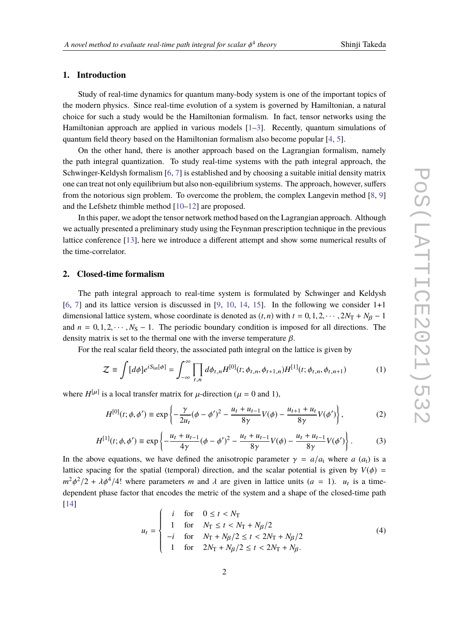# **1. Introduction**

Study of real-time dynamics for quantum many-body system is one of the important topics of the modern physics. Since real-time evolution of a system is governed by Hamiltonian, a natural choice for such a study would be the Hamiltonian formalism. In fact, tensor networks using the Hamiltonian approach are applied in various models  $[1-3]$  $[1-3]$ . Recently, quantum simulations of quantum field theory based on the Hamiltonian formalism also become popular [[4](#page-6-2), [5\]](#page-6-3).

On the other hand, there is another approach based on the Lagrangian formalism, namely the path integral quantization. To study real-time systems with the path integral approach, the Schwinger-Keldysh formalism [[6](#page-6-4), [7\]](#page-6-5) is established and by choosing a suitable initial density matrix one can treat not only equilibrium but also non-equilibrium systems. The approach, however, suffers from the notorious sign problem. To overcome the problem, the complex Langevin method [[8](#page-6-6), [9](#page-6-7)] and the Lefshetz thimble method [\[10](#page-6-8)[–12](#page-6-9)] are proposed.

In this paper, we adopt the tensor network method based on the Lagrangian approach. Although we actually presented a preliminary study using the Feynman prescription technique in the previous lattice conference [\[13](#page-7-0)], here we introduce a different attempt and show some numerical results of the time-correlator.

## **2. Closed-time formalism**

The path integral approach to real-time system is formulated by Schwinger and Keldysh  $[6, 7]$  $[6, 7]$  $[6, 7]$  $[6, 7]$  and its lattice version is discussed in  $[9, 10, 14, 15]$  $[9, 10, 14, 15]$  $[9, 10, 14, 15]$  $[9, 10, 14, 15]$  $[9, 10, 14, 15]$  $[9, 10, 14, 15]$  $[9, 10, 14, 15]$  $[9, 10, 14, 15]$ . In the following we consider  $1+1$ dimensional lattice system, whose coordinate is denoted as  $(t, n)$  with  $t = 0, 1, 2, \cdots, 2N_T + N_B - 1$ and  $n = 0, 1, 2, \dots, N_S - 1$ . The periodic boundary condition is imposed for all directions. The density matrix is set to the thermal one with the inverse temperature  $\beta$ .

For the real scalar field theory, the associated path integral on the lattice is given by

<span id="page-1-0"></span>
$$
\mathcal{Z} \equiv \int [d\phi] e^{iS_{\text{lat}}[\phi]} = \int_{-\infty}^{\infty} \prod_{t,n} d\phi_{t,n} H^{[0]}(t; \phi_{t,n}, \phi_{t+1,n}) H^{[1]}(t; \phi_{t,n}, \phi_{t,n+1}) \tag{1}
$$

where  $H^{[\mu]}$  is a local transfer matrix for  $\mu$ -direction ( $\mu = 0$  and 1),

$$
H^{[0]}(t; \phi, \phi') \equiv \exp\left\{-\frac{\gamma}{2u_t}(\phi - \phi')^2 - \frac{u_t + u_{t-1}}{8\gamma}V(\phi) - \frac{u_{t+1} + u_t}{8\gamma}V(\phi')\right\},\tag{2}
$$

$$
H^{[1]}(t; \phi, \phi') \equiv \exp\left\{-\frac{u_t + u_{t-1}}{4\gamma}(\phi - \phi')^2 - \frac{u_t + u_{t-1}}{8\gamma}V(\phi) - \frac{u_t + u_{t-1}}{8\gamma}V(\phi')\right\}.
$$
 (3)

In the above equations, we have defined the anisotropic parameter  $\gamma = a/a_t$  where *a* (*a*<sub>t</sub>) is a lattice spacing for the spatial (temporal) direction, and the scalar potential is given by  $V(\phi)$  =  $m^2\phi^2/2 + \lambda\phi^4/4!$  where parameters *m* and  $\lambda$  are given in lattice units (*a* = 1). *u<sub>t</sub>* is a timedependent phase factor that encodes the metric of the system and a shape of the closed-time path [[14\]](#page-7-1)

$$
u_{t} = \begin{cases} i & \text{for} & 0 \leq t < N_{\text{T}} \\ 1 & \text{for} & N_{\text{T}} \leq t < N_{\text{T}} + N_{\beta}/2 \\ -i & \text{for} & N_{\text{T}} + N_{\beta}/2 \leq t < 2N_{\text{T}} + N_{\beta}/2 \\ 1 & \text{for} & 2N_{\text{T}} + N_{\beta}/2 \leq t < 2N_{\text{T}} + N_{\beta}. \end{cases}
$$
(4)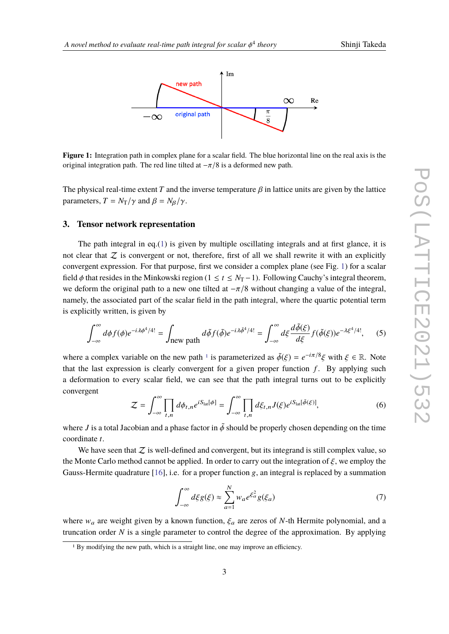<span id="page-2-0"></span>

**Figure 1:** Integration path in complex plane for a scalar field. The blue horizontal line on the real axis is the original integration path. The red line tilted at  $-\pi/8$  is a deformed new path.

The physical real-time extent *T* and the inverse temperature  $\beta$  in lattice units are given by the lattice parameters,  $T = N_T/\gamma$  and  $\beta = N_\beta/\gamma$ .

#### **3. Tensor network representation**

The path integral in eq. $(1)$  $(1)$  $(1)$  is given by multiple oscillating integrals and at first glance, it is not clear that  $Z$  is convergent or not, therefore, first of all we shall rewrite it with an explicitly convergent expression. For that purpose, first we consider a complex plane (see Fig. [1](#page-2-0)) for a scalar field  $\phi$  that resides in the Minkowski region (1 ≤ *t* ≤ *N*<sub>T</sub> − 1). Following Cauchy's integral theorem, we deform the original path to a new one tilted at  $-\pi/8$  without changing a value of the integral, namely, the associated part of the scalar field in the path integral, where the quartic potential term is explicitly written, is given by

$$
\int_{-\infty}^{\infty} d\phi f(\phi) e^{-i\lambda \phi^4/4!} = \int_{\text{new path}} d\tilde{\phi} f(\tilde{\phi}) e^{-i\lambda \tilde{\phi}^4/4!} = \int_{-\infty}^{\infty} d\xi \frac{d\tilde{\phi}(\xi)}{d\xi} f(\tilde{\phi}(\xi)) e^{-\lambda \xi^4/4!}, \quad (5)
$$

where a complex variable on the new path <sup>[1](#page-2-1)</sup> is parameterized as  $\tilde{\phi}(\xi) = e^{-i\pi/8}\xi$  with  $\xi \in \mathbb{R}$ . Note that the last expression is clearly convergent for a given proper function  $f$ . By applying such a deformation to every scalar field, we can see that the path integral turns out to be explicitly convergent

$$
\mathcal{Z} = \int_{-\infty}^{\infty} \prod_{t,n} d\phi_{t,n} e^{iS_{\text{lat}}[\phi]} = \int_{-\infty}^{\infty} \prod_{t,n} d\xi_{t,n} J(\xi) e^{iS_{\text{lat}}[\tilde{\phi}(\xi)]}, \tag{6}
$$

where *J* is a total Jacobian and a phase factor in  $\tilde{\phi}$  should be properly chosen depending on the time coordinate *t*.

We have seen that  $Z$  is well-defined and convergent, but its integrand is still complex value, so the Monte Carlo method cannot be applied. In order to carry out the integration of  $\xi$ , we employ the Gauss-Hermite quadrature [[16\]](#page-7-3), i.e. for a proper function g, an integral is replaced by a summation

$$
\int_{-\infty}^{\infty} d\xi g(\xi) \approx \sum_{a=1}^{N} w_a e^{\xi_a^2} g(\xi_a)
$$
 (7)

where  $w_a$  are weight given by a known function,  $\xi_a$  are zeros of *N*-th Hermite polynomial, and a truncation order *N* is a single parameter to control the degree of the approximation. By applying

<span id="page-2-1"></span><sup>&</sup>lt;sup>1</sup> By modifying the new path, which is a straight line, one may improve an efficiency.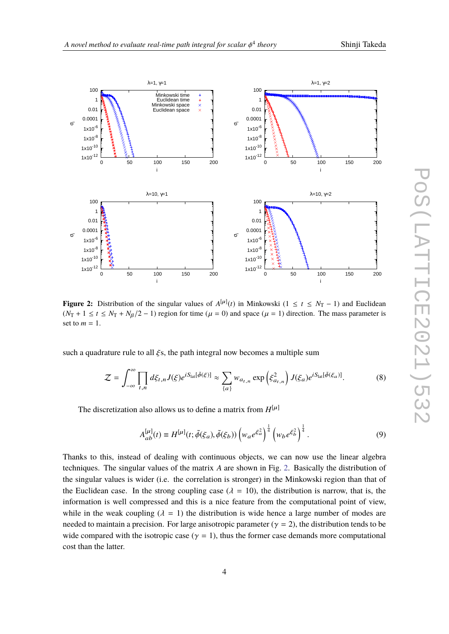<span id="page-3-0"></span>

**Figure 2:** Distribution of the singular values of  $A^{[\mu]}(t)$  in Minkowski (1 ≤ *t* ≤ *N*T − 1) and Euclidean  $(N_T + 1 \le t \le N_T + N_\beta/2 - 1)$  region for time  $(\mu = 0)$  and space  $(\mu = 1)$  direction. The mass parameter is set to  $m = 1$ .

such a quadrature rule to all  $\zeta$ s, the path integral now becomes a multiple sum

$$
\mathcal{Z} = \int_{-\infty}^{\infty} \prod_{t,n} d\xi_{t,n} J(\xi) e^{iS_{\text{lat}}[\tilde{\phi}(\xi)]} \approx \sum_{\{a\}} w_{a_{t,n}} \exp\left(\xi_{a_{t,n}}^2\right) J(\xi_a) e^{iS_{\text{lat}}[\tilde{\phi}(\xi_a)]}. \tag{8}
$$

The discretization also allows us to define a matrix from  $H^{[\mu]}$ 

$$
A_{ab}^{[\mu]}(t) \equiv H^{[\mu]}(t; \tilde{\phi}(\xi_a), \tilde{\phi}(\xi_b)) \left( w_a e^{\xi_a^2} \right)^{\frac{1}{4}} \left( w_b e^{\xi_b^2} \right)^{\frac{1}{4}}.
$$
 (9)

Thanks to this, instead of dealing with continuous objects, we can now use the linear algebra techniques. The singular values of the matrix *A* are shown in Fig. [2.](#page-3-0) Basically the distribution of the singular values is wider (i.e. the correlation is stronger) in the Minkowski region than that of the Euclidean case. In the strong coupling case ( $\lambda = 10$ ), the distribution is narrow, that is, the information is well compressed and this is a nice feature from the computational point of view, while in the weak coupling ( $\lambda = 1$ ) the distribution is wide hence a large number of modes are needed to maintain a precision. For large anisotropic parameter ( $\gamma = 2$ ), the distribution tends to be wide compared with the isotropic case ( $\gamma = 1$ ), thus the former case demands more computational cost than the latter.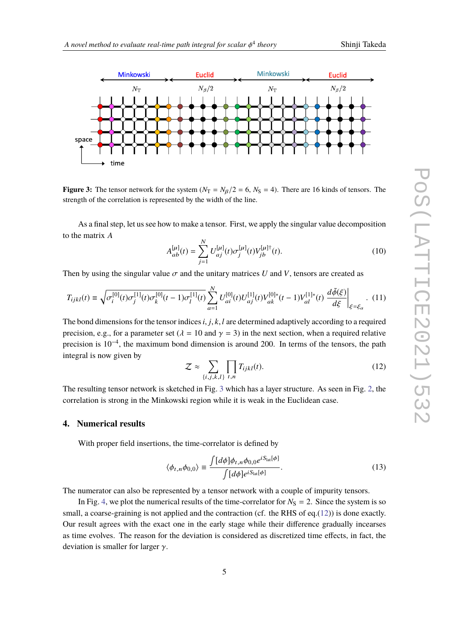<span id="page-4-0"></span>

**Figure 3:** The tensor network for the system ( $N_T = N_\beta/2 = 6$ ,  $N_S = 4$ ). There are 16 kinds of tensors. The strength of the correlation is represented by the width of the line.

As a final step, let us see how to make a tensor. First, we apply the singular value decomposition to the matrix *A*

$$
A_{ab}^{[\mu]}(t) = \sum_{j=1}^{N} U_{aj}^{[\mu]}(t) \sigma_j^{[\mu]}(t) V_{jb}^{[\mu]\dagger}(t).
$$
 (10)

Then by using the singular value  $\sigma$  and the unitary matrices *U* and *V*, tensors are created as

$$
T_{ijkl}(t) \equiv \sqrt{\sigma_i^{[0]}(t)\sigma_j^{[1]}(t)\sigma_k^{[0]}(t-1)\sigma_l^{[1]}(t)} \sum_{a=1}^N U_{ai}^{[0]}(t)U_{aj}^{[1]}(t)V_{ak}^{[0]*}(t-1)V_{al}^{[1]*}(t)\left. \frac{d\tilde{\phi}(\xi)}{d\xi} \right|_{\xi=\xi_a}.\tag{11}
$$

The bond dimensions for the tensor indices*i*, *j*, *k*,*l* are determined adaptively according to a required precision, e.g., for a parameter set ( $\lambda = 10$  and  $\gamma = 3$ ) in the next section, when a required relative precision is 10<sup>-4</sup>, the maximum bond dimension is around 200. In terms of the tensors, the path integral is now given by

<span id="page-4-1"></span>
$$
\mathcal{Z} \approx \sum_{\{i,j,k,l\}} \prod_{t,n} T_{ijkl}(t). \tag{12}
$$

The resulting tensor network is sketched in Fig. [3](#page-4-0) which has a layer structure. As seen in Fig. [2](#page-3-0), the correlation is strong in the Minkowski region while it is weak in the Euclidean case.

## **4. Numerical results**

With proper field insertions, the time-correlator is defined by

$$
\langle \phi_{t,n} \phi_{0,0} \rangle \equiv \frac{\int [d\phi] \phi_{t,n} \phi_{0,0} e^{iS_{\text{lat}}[\phi]}}{\int [d\phi] e^{iS_{\text{lat}}[\phi]}}.
$$
\n(13)

The numerator can also be represented by a tensor network with a couple of impurity tensors.

In Fig. [4,](#page-5-0) we plot the numerical results of the time-correlator for  $N<sub>S</sub> = 2$ . Since the system is so small, a coarse-graining is not applied and the contraction (cf. the RHS of eq.([12\)](#page-4-1)) is done exactly. Our result agrees with the exact one in the early stage while their difference gradually incearses as time evolves. The reason for the deviation is considered as discretized time effects, in fact, the deviation is smaller for larger  $\gamma$ .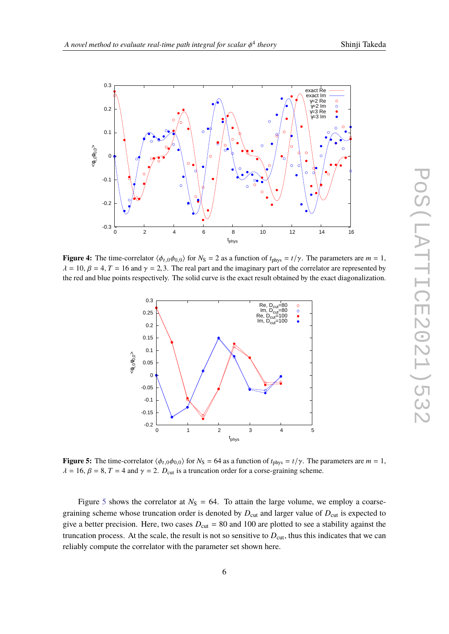<span id="page-5-0"></span>

<span id="page-5-1"></span>**Figure 4:** The time-correlator  $\langle \phi_{t,0} \phi_{0,0} \rangle$  for  $N_s = 2$  as a function of  $t_{phys} = t/\gamma$ . The parameters are  $m = 1$ ,  $\lambda = 10$ ,  $\beta = 4$ ,  $T = 16$  and  $\gamma = 2,3$ . The real part and the imaginary part of the correlator are represented by the red and blue points respectively. The solid curve is the exact result obtained by the exact diagonalization.



**Figure 5:** The time-correlator  $\langle \phi_{t,0} \phi_{0,0} \rangle$  for  $N_S = 64$  as a function of  $t_{\text{phys}} = t/\gamma$ . The parameters are  $m = 1$ ,  $\lambda = 16$ ,  $\beta = 8$ ,  $T = 4$  and  $\gamma = 2$ .  $D_{\text{cut}}$  is a truncation order for a corse-graining scheme.

Figure [5](#page-5-1) shows the correlator at  $N<sub>S</sub> = 64$ . To attain the large volume, we employ a coarsegraining scheme whose truncation order is denoted by  $D_{\text{cut}}$  and larger value of  $D_{\text{cut}}$  is expected to give a better precision. Here, two cases  $D_{\text{cut}} = 80$  and 100 are plotted to see a stability against the truncation process. At the scale, the result is not so sensitive to  $D_{\text{cut}}$ , thus this indicates that we can reliably compute the correlator with the parameter set shown here.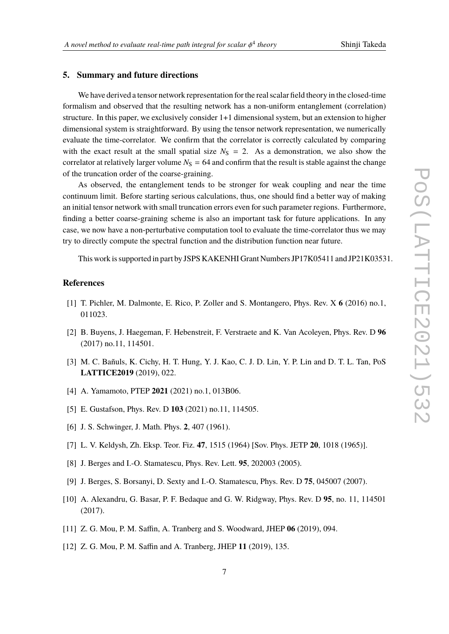#### *theory* Shinji Takeda

## **5. Summary and future directions**

We have derived a tensor network representation for the real scalar field theory in the closed-time formalism and observed that the resulting network has a non-uniform entanglement (correlation) structure. In this paper, we exclusively consider 1+1 dimensional system, but an extension to higher dimensional system is straightforward. By using the tensor network representation, we numerically evaluate the time-correlator. We confirm that the correlator is correctly calculated by comparing with the exact result at the small spatial size  $N<sub>S</sub> = 2$ . As a demonstration, we also show the correlator at relatively larger volume  $N<sub>S</sub> = 64$  and confirm that the result is stable against the change of the truncation order of the coarse-graining.

As observed, the entanglement tends to be stronger for weak coupling and near the time continuum limit. Before starting serious calculations, thus, one should find a better way of making an initial tensor network with small truncation errors even for such parameter regions. Furthermore, finding a better coarse-graining scheme is also an important task for future applications. In any case, we now have a non-perturbative computation tool to evaluate the time-correlator thus we may try to directly compute the spectral function and the distribution function near future.

This work is supported in part by JSPS KAKENHI Grant Numbers JP17K05411 and JP21K03531.

# **References**

- <span id="page-6-0"></span>[1] T. Pichler, M. Dalmonte, E. Rico, P. Zoller and S. Montangero, Phys. Rev. X **6** (2016) no.1, 011023.
- [2] B. Buyens, J. Haegeman, F. Hebenstreit, F. Verstraete and K. Van Acoleyen, Phys. Rev. D **96** (2017) no.11, 114501.
- <span id="page-6-1"></span>[3] M. C. Bañuls, K. Cichy, H. T. Hung, Y. J. Kao, C. J. D. Lin, Y. P. Lin and D. T. L. Tan, PoS **LATTICE2019** (2019), 022.
- <span id="page-6-2"></span>[4] A. Yamamoto, PTEP **2021** (2021) no.1, 013B06.
- <span id="page-6-3"></span>[5] E. Gustafson, Phys. Rev. D **103** (2021) no.11, 114505.
- <span id="page-6-4"></span>[6] J. S. Schwinger, J. Math. Phys. **2**, 407 (1961).
- <span id="page-6-5"></span>[7] L. V. Keldysh, Zh. Eksp. Teor. Fiz. **47**, 1515 (1964) [Sov. Phys. JETP **20**, 1018 (1965)].
- <span id="page-6-6"></span>[8] J. Berges and I.-O. Stamatescu, Phys. Rev. Lett. **95**, 202003 (2005).
- <span id="page-6-7"></span>[9] J. Berges, S. Borsanyi, D. Sexty and I.-O. Stamatescu, Phys. Rev. D **75**, 045007 (2007).
- <span id="page-6-8"></span>[10] A. Alexandru, G. Basar, P. F. Bedaque and G. W. Ridgway, Phys. Rev. D **95**, no. 11, 114501 (2017).
- [11] Z. G. Mou, P. M. Saffin, A. Tranberg and S. Woodward, JHEP **06** (2019), 094.
- <span id="page-6-9"></span>[12] Z. G. Mou, P. M. Saffin and A. Tranberg, JHEP **11** (2019), 135.